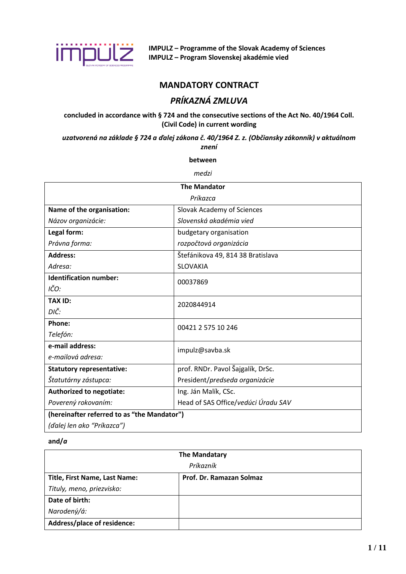

**IMPULZ – Programme of the Slovak Academy of Sciences IMPULZ – Program Slovenskej akadémie vied**

## **MANDATORY CONTRACT**

# *PRÍKAZNÁ ZMLUVA*

## **concluded in accordance with § 724 and the consecutive sections of the Act No. 40/1964 Coll. (Civil Code) in current wording**

*uzatvorená na základe § 724 a ďalej zákona č. 40/1964 Z. z. (Občiansky zákonník) v aktuálnom znení*

#### **between**

*medzi*

| <b>The Mandator</b>                                                   |                                   |  |  |  |  |
|-----------------------------------------------------------------------|-----------------------------------|--|--|--|--|
| Príkazca                                                              |                                   |  |  |  |  |
| Name of the organisation:                                             | Slovak Academy of Sciences        |  |  |  |  |
| Názov organizácie:                                                    | Slovenská akadémia vied           |  |  |  |  |
| Legal form:                                                           | budgetary organisation            |  |  |  |  |
| Právna forma:                                                         | rozpočtová organizácia            |  |  |  |  |
| <b>Address:</b>                                                       | Štefánikova 49, 814 38 Bratislava |  |  |  |  |
| Adresa:<br><b>SLOVAKIA</b>                                            |                                   |  |  |  |  |
| <b>Identification number:</b><br>00037869                             |                                   |  |  |  |  |
| IČO:                                                                  |                                   |  |  |  |  |
| <b>TAX ID:</b>                                                        | 2020844914                        |  |  |  |  |
| DIČ:                                                                  |                                   |  |  |  |  |
| Phone:                                                                | 00421 2 575 10 246                |  |  |  |  |
| Telefón:                                                              |                                   |  |  |  |  |
| e-mail address:                                                       | impulz@savba.sk                   |  |  |  |  |
| e-mailová adresa:                                                     |                                   |  |  |  |  |
| prof. RNDr. Pavol Šajgalík, DrSc.<br><b>Statutory representative:</b> |                                   |  |  |  |  |
| Štatutárny zástupca:                                                  | President/predseda organizácie    |  |  |  |  |
| <b>Authorized to negotiate:</b>                                       | Ing. Ján Malík, CSc.              |  |  |  |  |
| Head of SAS Office/vedúci Úradu SAV<br>Poverený rokovaním:            |                                   |  |  |  |  |
| (hereinafter referred to as "the Mandator")                           |                                   |  |  |  |  |
| (ďalej len ako "Príkazca")                                            |                                   |  |  |  |  |

### **and/***a*

| <b>The Mandatary</b><br>Príkazník  |  |  |
|------------------------------------|--|--|
|                                    |  |  |
| Tituly, meno, priezvisko:          |  |  |
| Date of birth:                     |  |  |
| Narodený/á:                        |  |  |
| <b>Address/place of residence:</b> |  |  |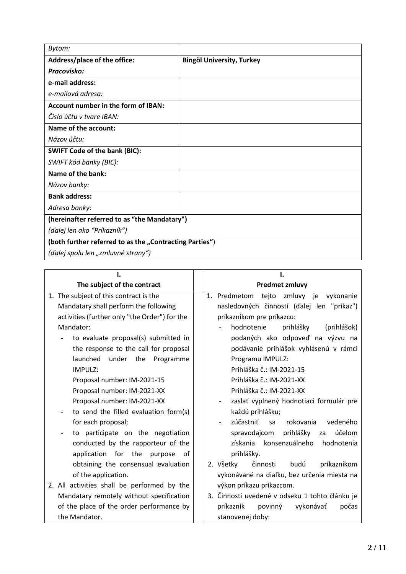| Bytom:                                                  |                                  |
|---------------------------------------------------------|----------------------------------|
| Address/place of the office:                            | <b>Bingöl University, Turkey</b> |
| Pracovisko:                                             |                                  |
| e-mail address:                                         |                                  |
| e-mailová adresa:                                       |                                  |
| <b>Account number in the form of IBAN:</b>              |                                  |
| Číslo účtu v tvare IBAN:                                |                                  |
| Name of the account:                                    |                                  |
| Názov účtu:                                             |                                  |
| <b>SWIFT Code of the bank (BIC):</b>                    |                                  |
| SWIFT kód banky (BIC):                                  |                                  |
| Name of the bank:                                       |                                  |
| Názov banky:                                            |                                  |
| <b>Bank address:</b>                                    |                                  |
| Adresa banky:                                           |                                  |
| (hereinafter referred to as "the Mandatary")            |                                  |
| (ďalej len ako "Príkazník")                             |                                  |
| (both further referred to as the "Contracting Parties") |                                  |
| (ďalej spolu len "zmluvné strany")                      |                                  |

| ı.                                            | ı.                                             |
|-----------------------------------------------|------------------------------------------------|
| The subject of the contract                   | <b>Predmet zmluvy</b>                          |
| 1. The subject of this contract is the        | 1. Predmetom<br>tejto zmluvy je vykonanie      |
| Mandatary shall perform the following         | nasledovných činností (ďalej len "príkaz")     |
| activities (further only "the Order") for the | príkazníkom pre príkazcu:                      |
| Mandator:                                     | hodnotenie<br>prihlášky<br>(prihlášok)         |
| to evaluate proposal(s) submitted in          | podaných ako odpoveď na výzvu na               |
| the response to the call for proposal         | podávanie prihlášok vyhlásenú v rámci          |
| launched<br>under the<br>Programme            | Programu IMPULZ:                               |
| IMPULZ:                                       | Prihláška č.: IM-2021-15                       |
| Proposal number: IM-2021-15                   | Prihláška č.: IM-2021-XX                       |
| Proposal number: IM-2021-XX                   | Prihláška č.: IM-2021-XX                       |
| Proposal number: IM-2021-XX                   | zaslať vyplnený hodnotiaci formulár pre        |
| to send the filled evaluation form(s)         | každú prihlášku;                               |
| for each proposal;                            | zúčastniť<br>rokovania<br>vedeného<br>sa       |
| to participate on the negotiation             | spravodajcom<br>prihlášky<br>účelom<br>za      |
| conducted by the rapporteur of the            | konsenzuálneho<br>získania<br>hodnotenia       |
| application for the purpose<br>of             | prihlášky.                                     |
| obtaining the consensual evaluation           | činnosti<br>príkazníkom<br>2. Všetky<br>budú   |
| of the application.                           | vykonávané na diaľku, bez určenia miesta na    |
| 2. All activities shall be performed by the   | výkon príkazu príkazcom.                       |
| Mandatary remotely without specification      | 3. Činnosti uvedené v odseku 1 tohto článku je |
| of the place of the order performance by      | vykonávať<br>príkazník<br>povinný<br>počas     |
| the Mandator.                                 | stanovenej doby:                               |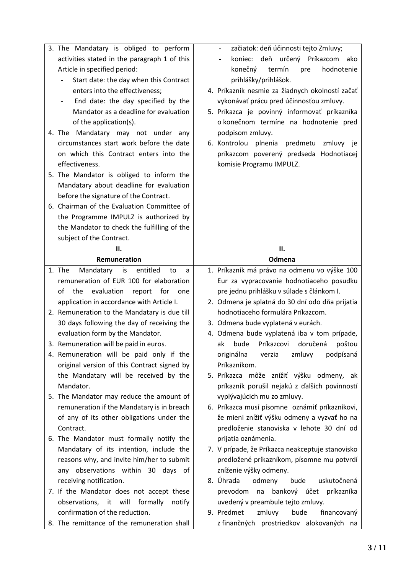| 3. The Mandatary is obliged to perform                             | začiatok: deň účinnosti tejto Zmluvy;<br>$\overline{\phantom{a}}$ |
|--------------------------------------------------------------------|-------------------------------------------------------------------|
| activities stated in the paragraph 1 of this                       | koniec: deň určený Príkazcom ako                                  |
| Article in specified period:                                       | hodnotenie<br>konečný<br>termín<br>pre                            |
| Start date: the day when this Contract                             | prihlášky/prihlášok.                                              |
| enters into the effectiveness;                                     | 4. Príkazník nesmie za žiadnych okolností začať                   |
| End date: the day specified by the<br>$\qquad \qquad \blacksquare$ | vykonávať prácu pred účinnosťou zmluvy.                           |
| Mandator as a deadline for evaluation                              | 5. Príkazca je povinný informovať príkazníka                      |
| of the application(s).                                             | o konečnom termíne na hodnotenie pred                             |
| 4. The Mandatary may not under any                                 | podpisom zmluvy.                                                  |
| circumstances start work before the date                           | 6. Kontrolou<br>plnenia<br>predmetu<br>zmluvy je                  |
| on which this Contract enters into the                             | príkazcom poverený predseda Hodnotiacej                           |
| effectiveness.                                                     | komisie Programu IMPULZ.                                          |
| 5. The Mandator is obliged to inform the                           |                                                                   |
| Mandatary about deadline for evaluation                            |                                                                   |
| before the signature of the Contract.                              |                                                                   |
| 6. Chairman of the Evaluation Committee of                         |                                                                   |
| the Programme IMPULZ is authorized by                              |                                                                   |
| the Mandator to check the fulfilling of the                        |                                                                   |
| subject of the Contract.                                           |                                                                   |
| II.                                                                | П.                                                                |
| Remuneration                                                       | Odmena                                                            |
| Mandatary is<br>entitled<br>1. The<br>to<br>a                      | 1. Príkazník má právo na odmenu vo výške 100                      |
| remuneration of EUR 100 for elaboration                            | Eur za vypracovanie hodnotiaceho posudku                          |
| of<br>evaluation<br>report for one<br>the                          | pre jednu prihlášku v súlade s článkom I.                         |
| application in accordance with Article I.                          | 2. Odmena je splatná do 30 dní odo dňa prijatia                   |
| 2. Remuneration to the Mandatary is due till                       | hodnotiaceho formulára Príkazcom.                                 |
| 30 days following the day of receiving the                         | 3. Odmena bude vyplatená v eurách.                                |
| evaluation form by the Mandator.                                   | 4. Odmena bude vyplatená iba v tom prípade,                       |
| 3. Remuneration will be paid in euros.                             | doručená<br>ak<br>bude<br>Príkazcovi<br>poštou                    |
| 4. Remuneration will be paid only if the                           |                                                                   |
| original version of this Contract signed by                        | podpísaná<br>originálna<br>zmluvy<br>verzia                       |
| the Mandatary will be received by the                              | Príkazníkom.                                                      |
| Mandator.                                                          | 5. Príkazca môže znížiť výšku odmeny, ak                          |
|                                                                    | príkazník porušil nejakú z ďalších povinností                     |
| 5. The Mandator may reduce the amount of                           | vyplývajúcich mu zo zmluvy.                                       |
| remuneration if the Mandatary is in breach                         | 6. Príkazca musí písomne oznámiť príkazníkovi,                    |
| of any of its other obligations under the                          | že mieni znížiť výšku odmeny a vyzvať ho na                       |
| Contract.                                                          | predloženie stanoviska v lehote 30 dní od                         |
| 6. The Mandator must formally notify the                           | prijatia oznámenia.                                               |
| Mandatary of its intention, include the                            | 7. V prípade, že Príkazca neakceptuje stanovisko                  |
| reasons why, and invite him/her to submit                          | predložené príkazníkom, písomne mu potvrdí                        |
| any observations within 30 days of                                 | zníženie výšky odmeny.                                            |
| receiving notification.                                            | 8. Úhrada<br>odmeny<br>uskutočnená<br>bude                        |
| 7. If the Mandator does not accept these                           | bankový účet príkazníka<br>prevodom na                            |
| observations, it will<br>formally<br>notify                        | uvedený v preambule tejto zmluvy.                                 |
| confirmation of the reduction.                                     | 9. Predmet<br>zmluvy<br>bude<br>financovaný                       |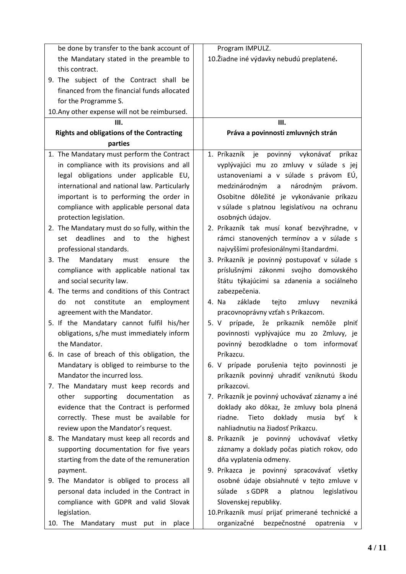| be done by transfer to the bank account of       | Program IMPULZ.                                                |
|--------------------------------------------------|----------------------------------------------------------------|
| the Mandatary stated in the preamble to          | 10. Žiadne iné výdavky nebudú preplatené.                      |
| this contract.                                   |                                                                |
| 9. The subject of the Contract shall be          |                                                                |
| financed from the financial funds allocated      |                                                                |
| for the Programme S.                             |                                                                |
| 10. Any other expense will not be reimbursed.    |                                                                |
| III.                                             | Ш.                                                             |
| <b>Rights and obligations of the Contracting</b> | Práva a povinnosti zmluvných strán                             |
| parties                                          |                                                                |
| 1. The Mandatary must perform the Contract       | 1. Príkazník je<br>povinný vykonávať<br>príkaz                 |
| in compliance with its provisions and all        | vyplývajúci mu zo zmluvy v súlade s jej                        |
| legal obligations under applicable EU,           | ustanoveniami a v súlade s právom EÚ,                          |
| international and national law. Particularly     | národným<br>právom.                                            |
|                                                  | medzinárodným<br>$\mathsf{a}$                                  |
| important is to performing the order in          | Osobitne dôležité je vykonávanie príkazu                       |
| compliance with applicable personal data         | v súlade s platnou legislatívou na ochranu                     |
| protection legislation.                          | osobných údajov.<br>2. Príkazník tak musí konať bezvýhradne, v |
| 2. The Mandatary must do so fully, within the    |                                                                |
| deadlines and to<br>the<br>highest<br>set        | rámci stanovených termínov a v súlade s                        |
| professional standards.                          | najvyššími profesionálnymi štandardmi.                         |
| 3. The<br>Mandatary<br>the<br>must<br>ensure     | 3. Príkazník je povinný postupovať v súlade s                  |
| compliance with applicable national tax          | príslušnými zákonmi svojho domovského                          |
| and social security law.                         | štátu týkajúcimi sa zdanenia a sociálneho                      |
| 4. The terms and conditions of this Contract     | zabezpečenia.                                                  |
| constitute an employment<br>do<br>not            | základe<br>zmluvy<br>nevzniká<br>4. Na<br>tejto                |
| agreement with the Mandator.                     | pracovnoprávny vzťah s Príkazcom.                              |
| 5. If the Mandatary cannot fulfil his/her        | prípade, že príkazník nemôže plniť<br>5. V                     |
| obligations, s/he must immediately inform        | povinnosti vyplývajúce mu zo Zmluvy, je                        |
| the Mandator.                                    | povinný bezodkladne o tom informovať                           |
| 6. In case of breach of this obligation, the     | Príkazcu.                                                      |
| Mandatary is obliged to reimburse to the         | 6. V prípade porušenia tejto povinnosti je                     |
| Mandator the incurred loss.                      | príkazník povinný uhradiť vzniknutú škodu                      |
| 7. The Mandatary must keep records and           | príkazcovi.                                                    |
| supporting documentation<br>other<br>as          | 7. Príkazník je povinný uchovávať záznamy a iné                |
| evidence that the Contract is performed          | doklady ako dôkaz, že zmluvy bola plnená                       |
| correctly. These must be available for           | doklady musia<br>riadne.<br>Tieto<br>byť<br>k.                 |
| review upon the Mandator's request.              | nahliadnutiu na žiadosť Príkazcu.                              |
| 8. The Mandatary must keep all records and       | 8. Príkazník je povinný uchovávať všetky                       |
| supporting documentation for five years          | záznamy a doklady počas piatich rokov, odo                     |
| starting from the date of the remuneration       | dňa vyplatenia odmeny.                                         |
| payment.                                         | 9. Príkazca je povinný spracovávať všetky                      |
| 9. The Mandator is obliged to process all        | osobné údaje obsiahnuté v tejto zmluve v                       |
| personal data included in the Contract in        | súlade<br>s GDPR<br>platnou<br>legislatívou<br>$\overline{a}$  |
| compliance with GDPR and valid Slovak            | Slovenskej republiky.                                          |
| legislation.                                     | 10.Príkazník musí prijať primerané technické a                 |
| 10. The Mandatary must put in place              | organizačné<br>bezpečnostné<br>opatrenia<br>v                  |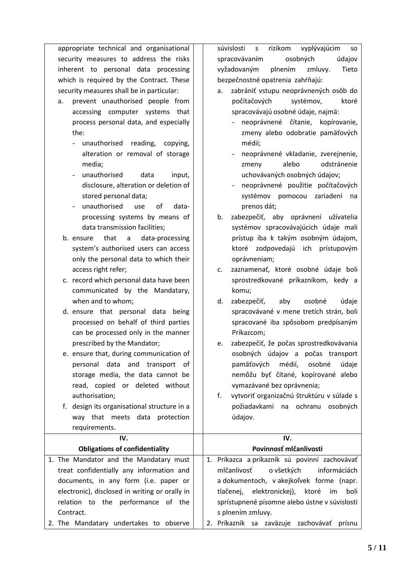| security measures to address the risks                             | údajov<br>spracovávaním<br>osobných              |  |  |  |  |
|--------------------------------------------------------------------|--------------------------------------------------|--|--|--|--|
| inherent to personal data processing                               | vyžadovaným<br>plnením<br>zmluvy.<br>Tieto       |  |  |  |  |
| which is required by the Contract. These                           | bezpečnostné opatrenia zahŕňajú:                 |  |  |  |  |
| security measures shall be in particular:                          | zabrániť vstupu neoprávnených osôb do<br>a.      |  |  |  |  |
| prevent unauthorised people from<br>a.                             | počítačových<br>systémov,<br>ktoré               |  |  |  |  |
| accessing computer systems that                                    | spracovávajú osobné údaje, najmä:                |  |  |  |  |
| process personal data, and especially                              | neoprávnené čítanie, kopírovanie,                |  |  |  |  |
| the:                                                               | zmeny alebo odobratie pamäťových                 |  |  |  |  |
| unauthorised reading,<br>copying,<br>÷,                            | médií;                                           |  |  |  |  |
| alteration or removal of storage                                   | neoprávnené vkladanie, zverejnenie,              |  |  |  |  |
| media;                                                             | odstránenie<br>alebo<br>zmeny                    |  |  |  |  |
| unauthorised<br>data<br>input,<br>$\blacksquare$                   | uchovávaných osobných údajov;                    |  |  |  |  |
| disclosure, alteration or deletion of                              | neoprávnené použitie počítačových                |  |  |  |  |
| stored personal data;                                              | systémov pomocou<br>zariadení<br>na              |  |  |  |  |
| unauthorised<br>of<br>data-<br>use<br>$\qquad \qquad \blacksquare$ | prenos dát;                                      |  |  |  |  |
| processing systems by means of                                     | zabezpečiť, aby oprávnení užívatelia<br>b.       |  |  |  |  |
| data transmission facilities;                                      | systémov spracovávajúcich údaje mali             |  |  |  |  |
| that<br>data-processing<br>b. ensure<br>$\mathsf{a}$               | prístup iba k takým osobným údajom,              |  |  |  |  |
| system's authorised users can access                               | ktoré zodpovedajú ich prístupovým                |  |  |  |  |
| only the personal data to which their                              | oprávneniam;                                     |  |  |  |  |
| access right refer;                                                | zaznamenať, ktoré osobné údaje boli<br>c.        |  |  |  |  |
| c. record which personal data have been                            | sprostredkované príkazníkom, kedy a              |  |  |  |  |
| communicated by the Mandatary,                                     | komu;                                            |  |  |  |  |
| when and to whom;                                                  | zabezpečiť,<br>osobné<br>údaje<br>d.<br>aby      |  |  |  |  |
| d. ensure that personal data being                                 | spracovávané v mene tretích strán, boli          |  |  |  |  |
| processed on behalf of third parties                               | spracované iba spôsobom predpísaným              |  |  |  |  |
| can be processed only in the manner                                | Príkazcom;                                       |  |  |  |  |
| prescribed by the Mandator;                                        | zabezpečiť, že počas sprostredkovávania<br>e.    |  |  |  |  |
| e. ensure that, during communication of                            | osobných údajov a počas transport                |  |  |  |  |
| personal data and transport of                                     | pamäťových<br>médií,<br>údaje<br>osobné          |  |  |  |  |
| storage media, the data cannot be                                  | nemôžu byť čítané, kopírované alebo              |  |  |  |  |
| read, copied or deleted without                                    | vymazávané bez oprávnenia;                       |  |  |  |  |
| authorisation;                                                     | vytvoriť organizačnú štruktúru v súlade s<br>f.  |  |  |  |  |
| f. design its organisational structure in a                        | požiadavkami na ochranu osobných                 |  |  |  |  |
| way that meets data protection                                     | údajov.                                          |  |  |  |  |
| requirements.                                                      |                                                  |  |  |  |  |
| IV.                                                                | IV.                                              |  |  |  |  |
| <b>Obligations of confidentiality</b>                              | Povinnosť mlčanlivosti                           |  |  |  |  |
| 1. The Mandator and the Mandatary must                             | 1. Príkazca a príkazník sú povinní zachovávať    |  |  |  |  |
| treat confidentially any information and                           | mlčanlivosť<br>o všetkých<br>informáciách        |  |  |  |  |
| documents, in any form (i.e. paper or                              | a dokumentoch, v akejkoľvek forme (napr.         |  |  |  |  |
| electronic), disclosed in writing or orally in                     | elektronickej), ktoré<br>tlačenej,<br>im<br>boli |  |  |  |  |
| relation to the performance of the                                 | sprístupnené písomne alebo ústne v súvislosti    |  |  |  |  |
| Contract.                                                          | s plnením zmluvy.                                |  |  |  |  |
| 2. The Mandatary undertakes to observe                             | 2. Príkazník sa zaväzuje zachovávať prísnu       |  |  |  |  |

appropriate technical and organisational | | súvislosti s rizikom vyplývajúcim so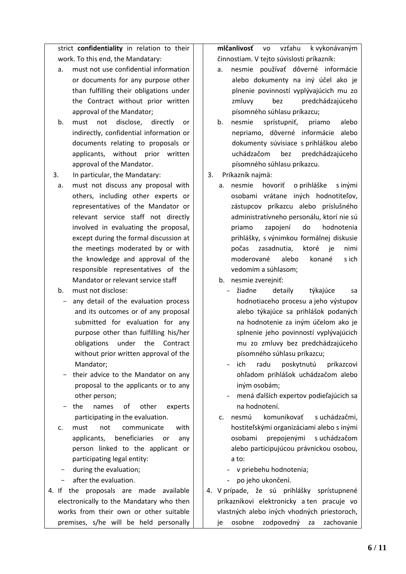strict **confidentiality** in relation to their work. To this end, the Mandatary:

- a. must not use confidential information or documents for any purpose other than fulfilling their obligations under the Contract without prior written approval of the Mandator;
- b. must not disclose, directly or indirectly, confidential information or documents relating to proposals or applicants, without prior written approval of the Mandator.
- 3. In particular, the Mandatary:
	- a. must not discuss any proposal with others, including other experts or representatives of the Mandator or relevant service staff not directly involved in evaluating the proposal, except during the formal discussion at the meetings moderated by or with the knowledge and approval of the responsible representatives of the Mandator or relevant service staff
	- b. must not disclose:
		- any detail of the evaluation process and its outcomes or of any proposal submitted for evaluation for any purpose other than fulfilling his/her obligations under the Contract without prior written approval of the Mandator;
		- their advice to the Mandator on any proposal to the applicants or to any other person;
		- the names of other experts participating in the evaluation.
	- c. must not communicate with applicants, beneficiaries or any person linked to the applicant or participating legal entity:
	- during the evaluation;
	- after the evaluation.
- 4. If the proposals are made available electronically to the Mandatary who then works from their own or other suitable premises, s/he will be held personally

**mlčanlivosť** vo vzťahu k vykonávaným činnostiam. V tejto súvislosti príkazník:

- a. nesmie používať dôverné informácie alebo dokumenty na iný účel ako je plnenie povinností vyplývajúcich mu zo zmluvy bez predchádzajúceho písomného súhlasu príkazcu;
- b. nesmie sprístupniť, priamo alebo nepriamo, dôverné informácie alebo dokumenty súvisiace s prihláškou alebo uchádzačom bez predchádzajúceho písomného súhlasu príkazcu.
- 3. Príkazník najmä:
	- a. nesmie hovoriť o prihláške s inými osobami vrátane iných hodnotiteľov, zástupcov príkazcu alebo príslušného administratívneho personálu, ktorí nie sú priamo zapojení do hodnotenia prihlášky, s výnimkou formálnej diskusie počas zasadnutia, ktoré je nimi moderované alebo konané s ich vedomím a súhlasom;
	- b. nesmie zverejniť:
		- žiadne detaily týkajúce sa hodnotiaceho procesu a jeho výstupov alebo týkajúce sa prihlášok podaných na hodnotenie za iným účelom ako je splnenie jeho povinností vyplývajúcich mu zo zmluvy bez predchádzajúceho písomného súhlasu príkazcu;
		- ich radu poskytnutú príkazcovi ohľadom prihlášok uchádzačom alebo iným osobám;
		- mená ďalších expertov podieľajúcich sa na hodnotení.
	- c. nesmú komunikovať s uchádzačmi, hostiteľskými organizáciami alebo s inými osobami prepojenými s uchádzačom alebo participujúcou právnickou osobou, a to:
		- v priebehu hodnotenia;
		- po jeho ukončení.
- 4. V prípade, že sú prihlášky sprístupnené príkazníkovi elektronicky a ten pracuje vo vlastných alebo iných vhodných priestoroch, je osobne zodpovedný za zachovanie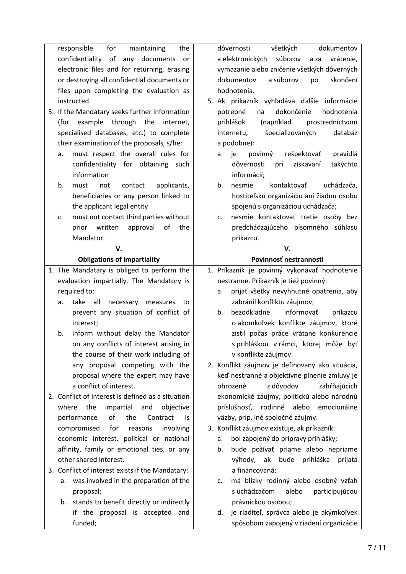| responsible<br>for<br>maintaining<br>the          | všetkých<br>dôvernosti<br>dokumentov                                                      |
|---------------------------------------------------|-------------------------------------------------------------------------------------------|
| confidentiality<br>of<br>documents<br>any<br>or   | súborov<br>a elektronických<br>vrátenie,<br>a za                                          |
| electronic files and for returning, erasing       | vymazanie alebo zničenie všetkých dôverných                                               |
| or destroying all confidential documents or       | a súborov<br>skončení<br>dokumentov<br>po                                                 |
| files upon completing the evaluation as           | hodnotenia.                                                                               |
| instructed.                                       | 5. Ak príkazník vyhľadáva ďalšie informácie                                               |
| 5. If the Mandatary seeks further information     | dokončenie<br>potrebné<br>hodnotenia<br>na                                                |
| (for example through the<br>internet,             | (napríklad<br>prihlášok<br>prostredníctvom                                                |
| specialised databases, etc.) to complete          | špecializovaných<br>internetu,<br>databáz                                                 |
| their examination of the proposals, s/he:         | a podobne):                                                                               |
| must respect the overall rules for<br>a.          | rešpektovať<br>povinný<br>pravidlá<br>je<br>a.                                            |
| confidentiality for obtaining such                | získavaní<br>dôvernosti<br>takýchto<br>pri                                                |
| information                                       | informácií;                                                                               |
| b.<br>contact<br>applicants,<br>must<br>not       | b.<br>nesmie<br>kontaktovať<br>uchádzača,                                                 |
| beneficiaries or any person linked to             | hostiteľskú organizáciu ani žiadnu osobu                                                  |
| the applicant legal entity                        | spojenú s organizáciou uchádzača;                                                         |
| must not contact third parties without<br>c.      | nesmie kontaktovať tretie osoby bez<br>c.                                                 |
| prior<br>written<br>approval<br>the<br>of         | predchádzajúceho písomného súhlasu                                                        |
| Mandator.                                         | príkazcu.                                                                                 |
| V.                                                | V.                                                                                        |
| <b>Obligations of impartiality</b>                | Povinnosť nestrannosti                                                                    |
| 1. The Mandatary is obliged to perform the        | 1. Príkazník je povinný vykonávať hodnotenie                                              |
| evaluation impartially. The Mandatory is          | nestranne. Príkazník je tiež povinný:                                                     |
|                                                   |                                                                                           |
| required to:                                      | prijať všetky nevyhnutné opatrenia, aby<br>a.                                             |
| take all<br>necessary<br>measures<br>a.<br>to     | zabránil konfliktu záujmov;                                                               |
| prevent any situation of conflict of              | bezodkladne<br>informovať<br>príkazcu<br>b.                                               |
| interest;                                         | o akomkoľvek konflikte záujmov, ktoré                                                     |
| inform without delay the Mandator<br>b.           | zistil počas práce vrátane konkurencie                                                    |
| on any conflicts of interest arising in           | s prihláškou v rámci, ktorej môže byť                                                     |
| the course of their work including of             | v konflikte záujmov.                                                                      |
| any proposal competing with the                   | 2. Konflikt záujmov je definovaný ako situácia,                                           |
| proposal where the expert may have                | keď nestranné a objektívne plnenie zmluvy je                                              |
| a conflict of interest.                           | z dôvodov<br>ohrozené<br>zahŕňajúcich                                                     |
| 2. Conflict of interest is defined as a situation | ekonomické záujmy, politickú alebo národnú                                                |
| impartial<br>where<br>the<br>and<br>objective     | rodinné alebo<br>príslušnosť,<br>emocionálne                                              |
| performance<br>of<br>the<br>Contract<br>is.       | väzby, príp. iné spoločné záujmy.                                                         |
| compromised<br>for<br>involving<br>reasons        | 3. Konflikt záujmov existuje, ak príkazník:                                               |
| economic interest, political or national          | bol zapojený do prípravy prihlášky;<br>a.                                                 |
| affinity, family or emotional ties, or any        | bude požívať priame alebo nepriame<br>b.                                                  |
| other shared interest.                            | výhody, ak bude prihláška<br>prijatá                                                      |
| 3. Conflict of interest exists if the Mandatary:  | a financovaná;                                                                            |
| was involved in the preparation of the<br>a.      | má blízky rodinný alebo osobný vzťah<br>c.                                                |
| proposal;                                         | s uchádzačom<br>alebo<br>participujúcou                                                   |
| b. stands to benefit directly or indirectly       | právnickou osobou;                                                                        |
| if the proposal is accepted and<br>funded;        | je riaditeľ, správca alebo je akýmkoľvek<br>d.<br>spôsobom zapojený v riadení organizácie |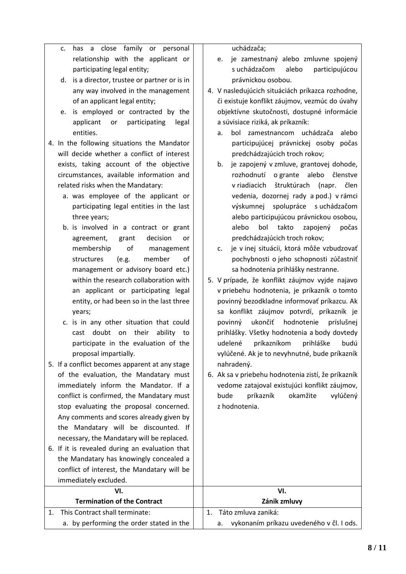|  |  |                             |  | c. has a close family or personal $\vert$ |  |
|--|--|-----------------------------|--|-------------------------------------------|--|
|  |  |                             |  | relationship with the applicant or $ $    |  |
|  |  | participating legal entity; |  |                                           |  |

d. is a director, trustee or partner or is in any way involved in the management of an applicant legal entity;

- e. is employed or contracted by the applicant or participating legal entities.
- 4. In the following situations the Mandator will decide whether a conflict of interest exists, taking account of the objective circumstances, available information and related risks when the Mandatary:
	- a. was employee of the applicant or participating legal entities in the last three years;
	- b. is involved in a contract or grant agreement, grant decision or membership of management structures (e.g. member of management or advisory board etc.) within the research collaboration with an applicant or participating legal entity, or had been so in the last three years;
	- c. is in any other situation that could cast doubt on their ability to participate in the evaluation of the proposal impartially.
- 5. If a conflict becomes apparent at any stage of the evaluation, the Mandatary must immediately inform the Mandator. If a conflict is confirmed, the Mandatary must stop evaluating the proposal concerned. Any comments and scores already given by the Mandatary will be discounted. If necessary, the Mandatary will be replaced*.*
- 6. If it is revealed during an evaluation that the Mandatary has knowingly concealed a conflict of interest, the Mandatary will be immediately excluded.

uchádzača;

- e. je zamestnaný alebo zmluvne spojený s uchádzačom alebo participujúcou právnickou osobou.
- 4. V nasledujúcich situáciách príkazca rozhodne, či existuje konflikt záujmov, vezmúc do úvahy objektívne skutočnosti, dostupné informácie a súvisiace riziká, ak príkazník:
	- a. bol zamestnancom uchádzača alebo participujúcej právnickej osoby počas predchádzajúcich troch rokov;
	- b. je zapojený v zmluve, grantovej dohode, rozhodnutí o grante alebo členstve v riadiacich štruktúrach (napr. člen vedenia, dozornej rady a pod.) v rámci výskumnej spolupráce s uchádzačom alebo participujúcou právnickou osobou, alebo bol takto zapojený počas predchádzajúcich troch rokov;
	- c. je v inej situácii, ktorá môže vzbudzovať pochybnosti o jeho schopnosti zúčastniť sa hodnotenia prihlášky nestranne.
- 5. V prípade, že konflikt záujmov vyjde najavo v priebehu hodnotenia, je príkazník o tomto povinný bezodkladne informovať príkazcu. Ak sa konflikt záujmov potvrdí, príkazník je povinný ukončiť hodnotenie príslušnej prihlášky. Všetky hodnotenia a body dovtedy udelené príkazníkom prihláške budú vylúčené. Ak je to nevyhnutné, bude príkazník nahradený.
- 6. Ak sa v priebehu hodnotenia zistí, že príkazník vedome zatajoval existujúci konflikt záujmov, bude príkazník okamžite vylúčený z hodnotenia.

## **VI. Termination of the Contract VI. Zánik zmluvy** 1. This Contract shall terminate: a. by performing the order stated in the 1. Táto zmluva zaniká: a. vykonaním príkazu uvedeného v čl. I ods.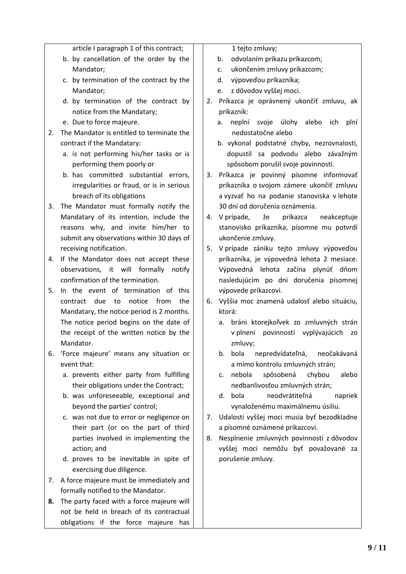article I paragraph 1 of this contract;

- b. by cancellation of the order by the Mandator;
- c. by termination of the contract by the Mandator;
- d. by termination of the contract by notice from the Mandatary;
- e. Due to force majeure.
- 2. The Mandator is entitled to terminate the contract if the Mandatary:
	- a. is not performing his/her tasks or is performing them poorly or
	- b. has committed substantial errors, irregularities or fraud, or is in serious breach of its obligations
- 3. The Mandator must formally notify the Mandatary of its intention, include the reasons why, and invite him/her to submit any observations within 30 days of receiving notification.
- 4. If the Mandator does not accept these observations, it will formally notify confirmation of the termination.
- 5. In the event of termination of this contract due to notice from the Mandatary, the notice period is 2 months. The notice period begins on the date of the receipt of the written notice by the Mandator.
- 6. 'Force majeure' means any situation or event that:
	- a. prevents either party from fulfilling their obligations under the Contract;
	- b. was unforeseeable, exceptional and beyond the parties' control;
	- c. was not due to error or negligence on their part (or on the part of third parties involved in implementing the action; and
	- d. proves to be inevitable in spite of exercising due diligence.
- 7. A force majeure must be immediately and formally notified to the Mandator.
- **8.** The party faced with a force majeure will not be held in breach of its contractual obligations if the force majeure has

1 tejto zmluvy;

- b. odvolaním príkazu príkazcom;
- c. ukončením zmluvy príkazcom;
- d. výpoveďou príkazníka;
- e. z dôvodov vyššej moci.
- 2. Príkazca je oprávnený ukončiť zmluvu, ak príkazník:
	- a. neplní svoje úlohy alebo ich plní nedostatočne alebo
	- b. vykonal podstatné chyby, nezrovnalosti, dopustil sa podvodu alebo závažným spôsobom porušil svoje povinnosti.
- 3. Príkazca je povinný písomne informovať príkazníka o svojom zámere ukončiť zmluvu a vyzvať ho na podanie stanoviska v lehote 30 dní od doručenia oznámenia.
- 4. V prípade, že príkazca neakceptuje stanovisko príkazníka, písomne mu potvrdí ukončenie zmluvy.
- 5. V prípade zániku tejto zmluvy výpoveďou príkazníka, je výpovedná lehota 2 mesiace. Výpovedná lehota začína plynúť dňom nasledujúcim po dni doručenia písomnej výpovede príkazcovi.
- 6. Vyššia moc znamená udalosť alebo situáciu, ktorá:
	- a. bráni ktorejkoľvek zo zmluvných strán v plnení povinností vyplývajúcich zo zmluvy;
	- b. bola nepredvídateľná, neočakávaná a mimo kontrolu zmluvných strán;
	- c. nebola spôsobená chybou alebo nedbanlivosťou zmluvných strán;
	- d. bola neodvrátiteľná napriek vynaloženému maximálnemu úsiliu.
- 7. Udalosti vyššej moci musia byť bezodkladne a písomné oznámené príkazcovi.
- 8. Nesplnenie zmluvných povinností z dôvodov vyššej moci nemôžu byť považované za porušenie zmluvy.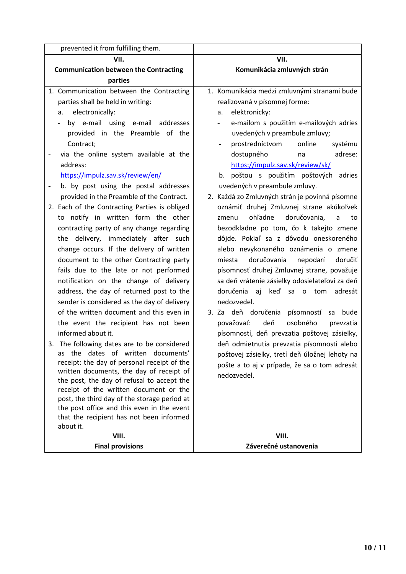| prevented it from fulfilling them.                                                     |                                                |
|----------------------------------------------------------------------------------------|------------------------------------------------|
| VII.                                                                                   | VII.                                           |
| <b>Communication between the Contracting</b>                                           | Komunikácia zmluvných strán                    |
| parties                                                                                |                                                |
| 1. Communication between the Contracting                                               | 1. Komunikácia medzi zmluvnými stranami bude   |
| parties shall be held in writing:                                                      | realizovaná v písomnej forme:                  |
| electronically:<br>a.                                                                  | elektronicky:<br>a.                            |
| by e-mail using e-mail addresses<br>$\overline{\phantom{0}}$                           | e-mailom s použitím e-mailových adries         |
| provided in the Preamble of the                                                        | uvedených v preambule zmluvy;                  |
| Contract;                                                                              | prostredníctvom<br>online<br>systému           |
| via the online system available at the<br>$\qquad \qquad -$                            | dostupného<br>adrese:<br>na                    |
| address:                                                                               | https://impulz.sav.sk/review/sk/               |
| https://impulz.sav.sk/review/en/                                                       | poštou s použitím poštových adries<br>b.       |
| b. by post using the postal addresses                                                  | uvedených v preambule zmluvy.                  |
| provided in the Preamble of the Contract.                                              | 2. Každá zo Zmluvných strán je povinná písomne |
| 2. Each of the Contracting Parties is obliged                                          | oznámiť druhej Zmluvnej strane akúkoľvek       |
| to notify in written form the other                                                    | ohľadne<br>doručovania,<br>zmenu<br>a<br>to    |
| contracting party of any change regarding                                              | bezodkladne po tom, čo k takejto zmene         |
| the delivery, immediately after such                                                   | dôjde. Pokiaľ sa z dôvodu oneskoreného         |
| change occurs. If the delivery of written                                              | alebo nevykonaného oznámenia o zmene           |
| document to the other Contracting party                                                | doručovania<br>nepodarí<br>doručiť<br>miesta   |
| fails due to the late or not performed                                                 | písomnosť druhej Zmluvnej strane, považuje     |
| notification on the change of delivery                                                 | sa deň vrátenie zásielky odosielateľovi za deň |
| address, the day of returned post to the                                               | doručenia<br>aj<br>keď sa o tom adresát        |
| sender is considered as the day of delivery                                            | nedozvedel.                                    |
| of the written document and this even in                                               | 3. Za deň doručenia písomností<br>bude<br>sa   |
| the event the recipient has not been                                                   | považovať:<br>deň<br>osobného<br>prevzatia     |
| informed about it.                                                                     | písomností, deň prevzatia poštovej zásielky,   |
| 3. The following dates are to be considered                                            | deň odmietnutia prevzatia písomnosti alebo     |
| the dates of written documents'<br>as                                                  | poštovej zásielky, tretí deň úložnej lehoty na |
| receipt: the day of personal receipt of the                                            | pošte a to aj v prípade, že sa o tom adresát   |
| written documents, the day of receipt of<br>the post, the day of refusal to accept the | nedozvedel.                                    |
| receipt of the written document or the                                                 |                                                |
| post, the third day of the storage period at                                           |                                                |
| the post office and this even in the event                                             |                                                |
| that the recipient has not been informed                                               |                                                |
| about it.                                                                              |                                                |
| VIII.                                                                                  | VIII.                                          |
| <b>Final provisions</b>                                                                | Záverečné ustanovenia                          |